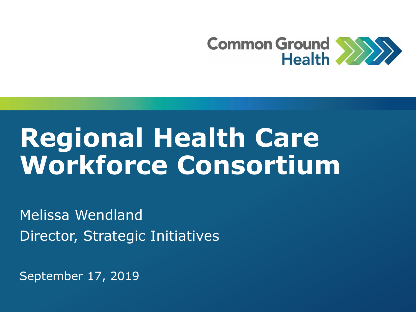

## **Regional Health Care Workforce Consortium**

Melissa Wendland Director, Strategic Initiatives

September 17, 2019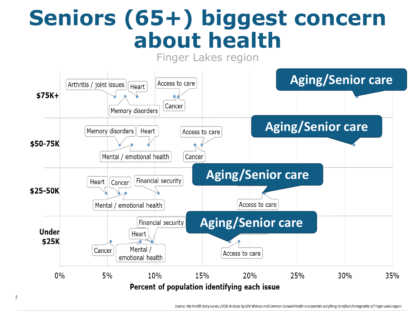### **Seniors (65+) biggest concern about health**



Source: My Health Story survey 2018; Analysis by IBM Watson and Common Ground Health incorporates weighting to reflect demographic of Finger Lakes region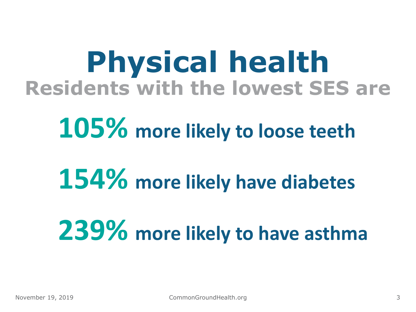## **Physical health Residents with the lowest SES are**

## **105% more likely to loose teeth**

# **154% more likely have diabetes**

# **239% more likely to have asthma**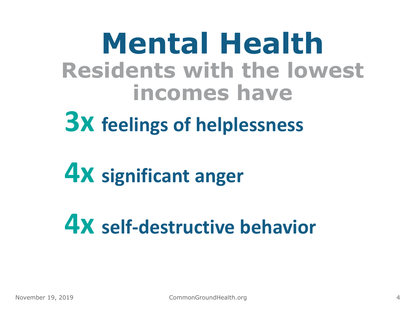**Mental Health Residents with the lowest incomes have**

**3x feelings of helplessness**

**4x significant anger**

**4x self-destructive behavior**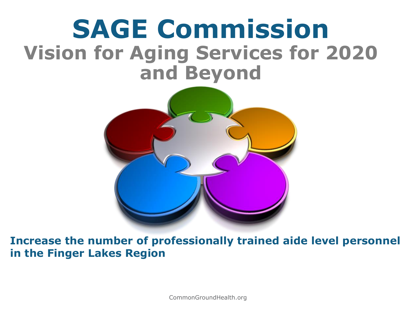### **SAGE Commission Vision for Aging Services for 2020 and Beyond**



**Increase the number of professionally trained aide level personnel in the Finger Lakes Region**

 $1$  CommonGroundHealth.org  $\sim$  2019  $\sim$  2019  $\sim$  2019  $\sim$  2019  $\sim$  2019  $\sim$  2019  $\sim$  2019  $\sim$  2019  $\sim$  2019  $\sim$  2019  $\sim$  2019  $\sim$  2019  $\sim$  2019  $\sim$  2019  $\sim$  2019  $\sim$  2019  $\sim$  2019  $\sim$  2019  $\sim$  2019  $\sim$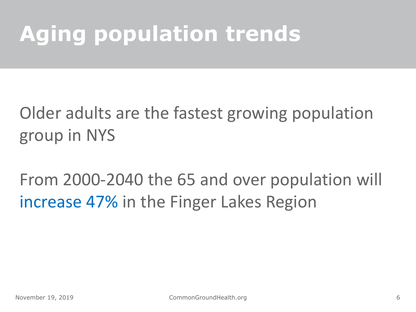## **Aging population trends**

#### Older adults are the fastest growing population group in NYS

From 2000-2040 the 65 and over population will increase 47% in the Finger Lakes Region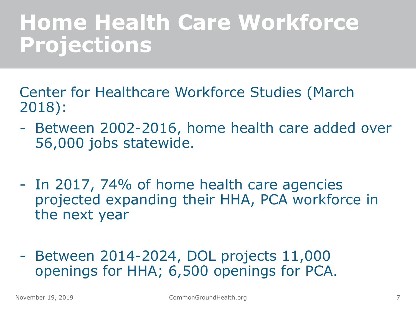### **Home Health Care Workforce Projections**

- Center for Healthcare Workforce Studies (March 2018):
- Between 2002-2016, home health care added over 56,000 jobs statewide.
- In 2017, 74% of home health care agencies projected expanding their HHA, PCA workforce in the next year
- Between 2014-2024, DOL projects 11,000 openings for HHA; 6,500 openings for PCA.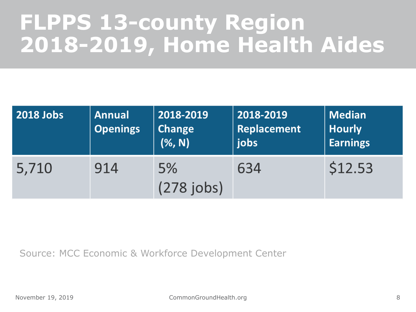### **FLPPS 13-county Region 2018-2019, Home Health Aides**

| 2018 Jobs | <b>Annual</b><br><b>Openings</b> | 2018-2019<br><b>Change</b><br>(%, N) | 2018-2019<br>Replacement<br>jobs | <b>Median</b><br><b>Hourly</b><br><b>Earnings</b> |
|-----------|----------------------------------|--------------------------------------|----------------------------------|---------------------------------------------------|
| 5,710     | 914                              | 5%<br>$(278$ jobs)                   | 634                              | \$12.53                                           |

Source: MCC Economic & Workforce Development Center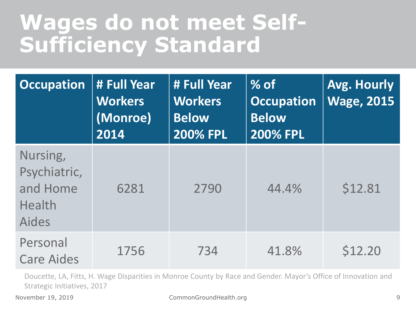### **Wages do not meet Self-Sufficiency Standard**

| <b>Occupation</b>                                              | # Full Year<br><b>Workers</b><br>(Monroe)<br>2014 | # Full Year<br><b>Workers</b><br><b>Below</b><br><b>200% FPL</b> | $%$ of<br><b>Occupation</b><br><b>Below</b><br><b>200% FPL</b> | Avg. Hourly<br><b>Wage, 2015</b> |
|----------------------------------------------------------------|---------------------------------------------------|------------------------------------------------------------------|----------------------------------------------------------------|----------------------------------|
| Nursing,<br>Psychiatric,<br>and Home<br>Health<br><b>Aides</b> | 6281                                              | 2790                                                             | 44.4%                                                          | \$12.81                          |
| Personal<br><b>Care Aides</b>                                  | 1756                                              | 734                                                              | 41.8%                                                          | \$12.20                          |

Doucette, LA, Fitts, H. Wage Disparities in Monroe County by Race and Gender. Mayor's Office of Innovation and Strategic Initiatives, 2017

November 19, 2019 **CommonGroundHealth.org** 9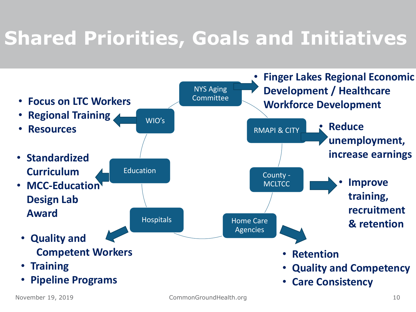### **Shared Priorities, Goals and Initiatives**

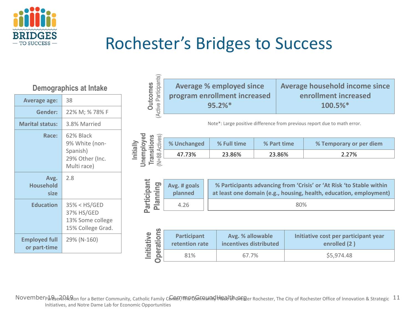

#### Rochester's Bridges to Success

| Deiliographics at intake             |                                                                           |  |  |  |
|--------------------------------------|---------------------------------------------------------------------------|--|--|--|
| <b>Average age:</b>                  | 38                                                                        |  |  |  |
| Gender:                              | 22% M; % 78% F                                                            |  |  |  |
| <b>Marital status:</b>               | 3.8% Married                                                              |  |  |  |
| Race:                                | 62% Black<br>9% White (non-<br>Spanish)<br>29% Other (Inc.<br>Multi race) |  |  |  |
| Avg.<br><b>Household</b><br>size     | 2.8                                                                       |  |  |  |
| <b>Education</b>                     | 35% < HS/GED<br>37% HS/GED<br>13% Some college<br>15% College Grad.       |  |  |  |
| <b>Employed full</b><br>or part-time | 29% (N-160)                                                               |  |  |  |

**Demographics at Intake**

| (Active Participants)<br><b>Outcomes</b>                        |                                                                          | <b>Average % employed since</b><br>program enrollment increased<br>95.2% |             |              | Average household income since<br>enrollment increased<br>100.5%*                                                                          |  |  |
|-----------------------------------------------------------------|--------------------------------------------------------------------------|--------------------------------------------------------------------------|-------------|--------------|--------------------------------------------------------------------------------------------------------------------------------------------|--|--|
|                                                                 | Note*: Large positive difference from previous report due to math error. |                                                                          |             |              |                                                                                                                                            |  |  |
| Jnemployed<br>(N=88 Actives)<br><b>Transitions</b><br>Initially | % Unchanged                                                              | % Full time                                                              | % Part time |              | % Temporary or per diem                                                                                                                    |  |  |
|                                                                 | 47.73%                                                                   | 23.86%                                                                   | 23.86%      |              | 2.27%                                                                                                                                      |  |  |
| Participant<br>Planning                                         | Avg. # goals<br>planned                                                  |                                                                          |             |              | % Participants advancing from 'Crisis' or 'At Risk 'to Stable within<br>at least one domain (e.g., housing, health, education, employment) |  |  |
|                                                                 | 4.26                                                                     | 80%                                                                      |             |              |                                                                                                                                            |  |  |
| <b>Operations</b>                                               | <b>Participant</b>                                                       | Avg. % allowable                                                         |             |              | Initiative cost per participant year                                                                                                       |  |  |
| Initiative                                                      | retention rate                                                           | incentives distributed                                                   |             | enrolled (2) |                                                                                                                                            |  |  |
|                                                                 | 81%                                                                      | 67.7%                                                                    |             |              | \$5,974.48                                                                                                                                 |  |  |

November 19, e2012 and for a Better Community, Catholic Family Center, The alter and the community plead the City of Rochester Office of Innovation & Strategic  $11$ Initiatives, and Notre Dame Lab for Economic Opportunities